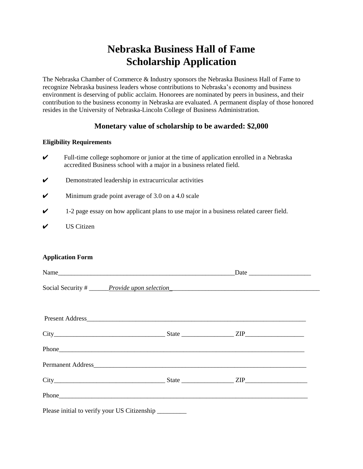## **Nebraska Business Hall of Fame Scholarship Application**

The Nebraska Chamber of Commerce & Industry sponsors the Nebraska Business Hall of Fame to recognize Nebraska business leaders whose contributions to Nebraska's economy and business environment is deserving of public acclaim. Honorees are nominated by peers in business, and their contribution to the business economy in Nebraska are evaluated. A permanent display of those honored resides in the University of Nebraska-Lincoln College of Business Administration.

## **Monetary value of scholarship to be awarded: \$2,000**

## **Eligibility Requirements**

- $\checkmark$  Full-time college sophomore or junior at the time of application enrolled in a Nebraska accredited Business school with a major in a business related field.
- $\triangleright$  Demonstrated leadership in extracurricular activities
- $\checkmark$  Minimum grade point average of 3.0 on a 4.0 scale
- $\checkmark$  1-2 page essay on how applicant plans to use major in a business related career field.
- $\boldsymbol{\mathsf{V}}$  US Citizen

## **Application Form**

| Social Security # <u>Provide upon selection</u> |  |  |  |  |
|-------------------------------------------------|--|--|--|--|
|                                                 |  |  |  |  |
|                                                 |  |  |  |  |
| $City$ $City$ ${ZIP}$                           |  |  |  |  |
|                                                 |  |  |  |  |
|                                                 |  |  |  |  |
| $City$ $City$ $ZIP$                             |  |  |  |  |
|                                                 |  |  |  |  |
| Please initial to verify your US Citizenship    |  |  |  |  |